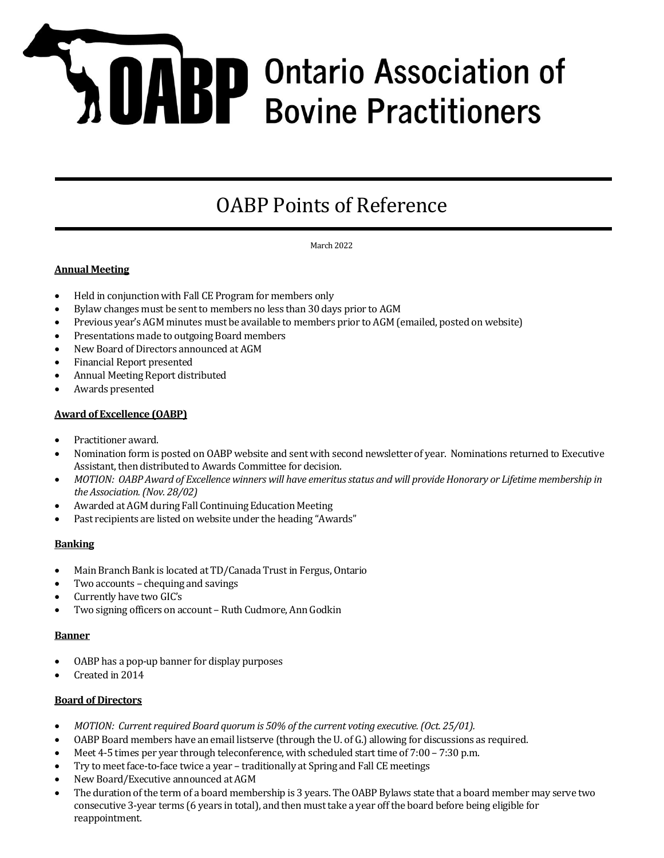# **A DABP** Ontario Association of **Bovine Practitioners**

# OABP Points of Reference

March 2022

# **Annual Meeting**

- Held in conjunction with Fall CE Program for members only
- Bylaw changes must be sent to members no less than 30 days prior to AGM
- Previous year's AGM minutes must be available to members prior to AGM (emailed, posted on website)
- Presentations made to outgoing Board members
- New Board of Directors announced at AGM
- Financial Report presented
- Annual Meeting Report distributed
- Awards presented

# **Award of Excellence (OABP)**

- Practitioner award.
- Nomination form is posted on OABP website and sent with second newsletter of year. Nominations returned to Executive Assistant, then distributed to Awards Committee for decision.
- *MOTION: OABP Award of Excellence winners will have emeritus status and will provide Honorary or Lifetime membership in the Association. (Nov. 28/02)*
- Awarded at AGM during Fall Continuing Education Meeting
- Past recipients are listed on website under the heading "Awards"

#### **Banking**

- Main Branch Bank is located at TD/Canada Trust in Fergus, Ontario
- Two accounts chequing and savings
- Currently have two GIC's
- Two signing officers on account Ruth Cudmore, Ann Godkin

#### **Banner**

- OABP has a pop-up banner for display purposes
- Created in 2014

#### **Board of Directors**

- *MOTION: Current required Board quorum is 50% of the current voting executive. (Oct. 25/01).*
- OABP Board members have an email listserve (through the U. of G.) allowing for discussions as required.
- Meet 4-5 times per year through teleconference, with scheduled start time of 7:00 7:30 p.m.
- Try to meet face-to-face twice a year traditionally at Spring and Fall CE meetings
- New Board/Executive announced at AGM
- The duration of the term of a board membership is 3 years. The OABP Bylaws state that a board member may serve two consecutive 3-year terms (6 years in total), and then must take a year off the board before being eligible for reappointment.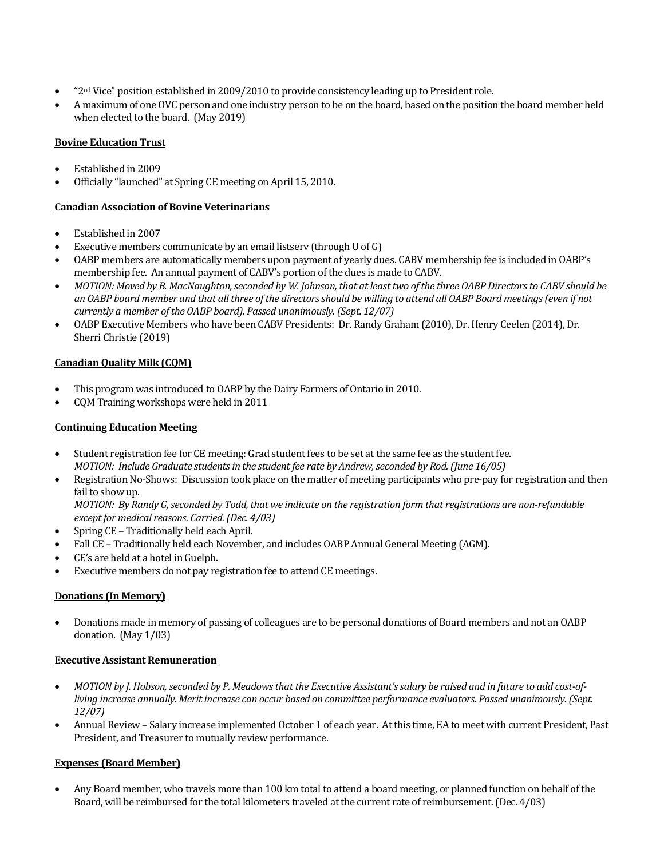- "2nd Vice" position established in 2009/2010 to provide consistency leading up to President role.
- A maximum of one OVC person and one industry person to be on the board, based on the position the board member held when elected to the board. (May 2019)

# **Bovine Education Trust**

- Established in 2009
- Officially "launched" at Spring CE meeting on April 15, 2010.

# **Canadian Association of Bovine Veterinarians**

- Established in 2007
- Executive members communicate by an email listserv (through U of G)
- OABP members are automatically members upon payment of yearly dues. CABV membership fee is included in OABP's membership fee. An annual payment of CABV's portion of the dues is made to CABV.
- *MOTION: Moved by B. MacNaughton, seconded by W. Johnson, that at least two of the three OABP Directors to CABV should be an OABP board member and that all three of the directors should be willing to attend all OABP Board meetings (even if not currently a member of the OABP board). Passed unanimously. (Sept. 12/07)*
- OABP Executive Members who have been CABV Presidents: Dr. Randy Graham (2010), Dr. Henry Ceelen (2014), Dr. Sherri Christie (2019)

# **Canadian Quality Milk (CQM)**

- This program was introduced to OABP by the Dairy Farmers of Ontario in 2010.
- CQM Training workshops were held in 2011

# **Continuing Education Meeting**

- Student registration fee for CE meeting: Grad student fees to be set at the same fee as the student fee. *MOTION: Include Graduate students in the student fee rate by Andrew, seconded by Rod. (June 16/05)*
- Registration No-Shows: Discussion took place on the matter of meeting participants who pre-pay for registration and then fail to show up.

*MOTION: By Randy G, seconded by Todd, that we indicate on the registration form that registrations are non-refundable except for medical reasons. Carried. (Dec. 4/03)*

- Spring CE Traditionally held each April.
- Fall CE Traditionally held each November, and includes OABP Annual General Meeting (AGM).
- CE's are held at a hotel in Guelph.
- Executive members do not pay registration fee to attend CE meetings.

# **Donations (In Memory)**

 Donations made in memory of passing of colleagues are to be personal donations of Board members and not an OABP donation. (May 1/03)

#### **Executive Assistant Remuneration**

- *MOTION by J. Hobson, seconded by P. Meadows that the Executive Assistant's salary be raised and in future to add cost-ofliving increase annually. Merit increase can occur based on committee performance evaluators. Passed unanimously. (Sept. 12/07)*
- Annual Review Salary increase implemented October 1 of each year. At this time, EA to meet with current President, Past President, and Treasurer to mutually review performance.

#### **Expenses (Board Member)**

 Any Board member, who travels more than 100 km total to attend a board meeting, or planned function on behalf of the Board, will be reimbursed for the total kilometers traveled at the current rate of reimbursement. (Dec. 4/03)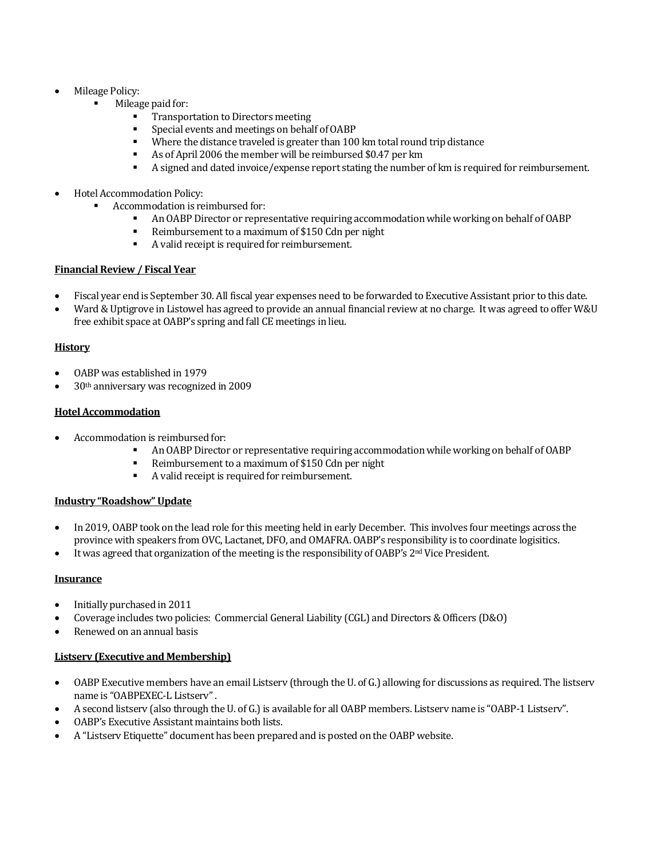- Mileage Policy:
	- Mileage paid for:
		- Transportation to Directors meeting
		- Special events and meetings on behalf of OABP
		- Where the distance traveled is greater than 100 km total round trip distance
		- As of April 2006 the member will be reimbursed \$0.47 per km
		- A signed and dated invoice/expense report stating the number of km is required for reimbursement.
- Hotel Accommodation Policy:
	- Accommodation is reimbursed for:
		- An OABP Director or representative requiring accommodation while working on behalf of OABP<br>Reimbursement to a maximum of \$150 Cdn per night
		- Reimbursement to a maximum of \$150 Cdn per night
		- A valid receipt is required for reimbursement.

#### **Financial Review / Fiscal Year**

- Fiscal year end is September 30. All fiscal year expenses need to be forwarded to Executive Assistant prior to this date.
- Ward & Uptigrove in Listowel has agreed to provide an annual financial review at no charge. It was agreed to offer W&U free exhibit space at OABP's spring and fall CE meetings in lieu.

# **History**

- OABP was established in 1979
- 30th anniversary was recognized in 2009

#### **Hotel Accommodation**

- Accommodation is reimbursed for:
	- An OABP Director or representative requiring accommodation while working on behalf of OABP
	- Reimbursement to a maximum of \$150 Cdn per night
	- A valid receipt is required for reimbursement.

#### **Industry "Roadshow" Update**

- In 2019, OABP took on the lead role for this meeting held in early December. This involves four meetings across the province with speakers from OVC, Lactanet, DFO, and OMAFRA. OABP's responsibility is to coordinate logisitics.
- It was agreed that organization of the meeting is the responsibility of OABP's 2nd Vice President.

#### **Insurance**

- Initially purchased in 2011
- Coverage includes two policies: Commercial General Liability (CGL) and Directors & Officers (D&O)
- Renewed on an annual basis

#### **Listserv (Executive and Membership)**

- OABP Executive members have an email Listserv (through the U. of G.) allowing for discussions as required. The listserv name is "OABPEXEC-L Listserv".
- A second listserv (also through the U. of G.) is available for all OABP members. Listserv name is "OABP-1 Listserv".
- OABP's Executive Assistant maintains both lists.
- A "Listserv Etiquette" document has been prepared and is posted on the OABP website.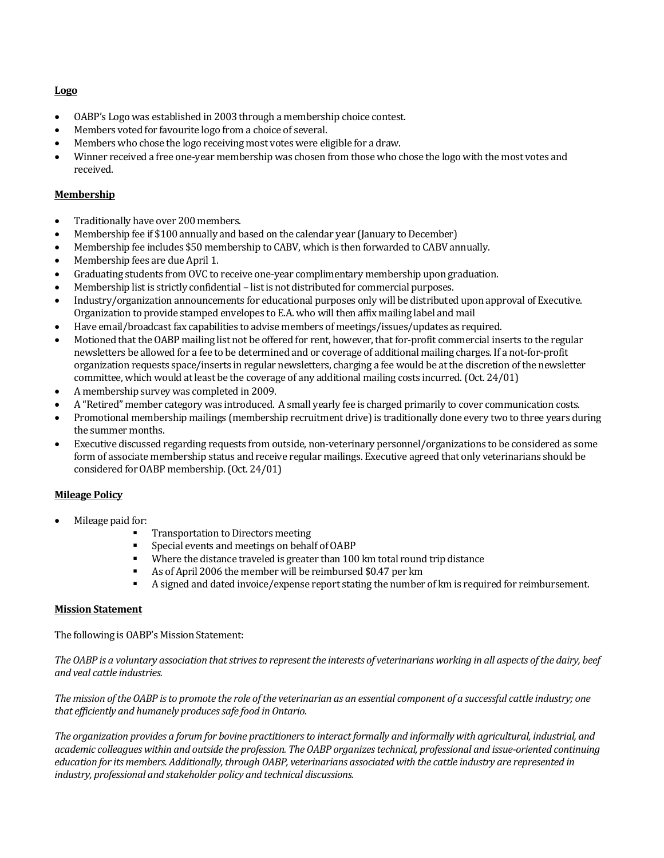#### **Logo**

- OABP's Logo was established in 2003 through a membership choice contest.
- Members voted for favourite logo from a choice of several.
- Members who chose the logo receiving most votes were eligible for a draw.
- Winner received a free one-year membership was chosen from those who chose the logo with the most votes and received.

#### **Membership**

- Traditionally have over 200 members.
- Membership fee if \$100 annually and based on the calendar year (January to December)
- Membership fee includes \$50 membership to CABV, which is then forwarded to CABV annually.
- Membership fees are due April 1.
- Graduating students from OVC to receive one-year complimentary membership upon graduation.
- Membership list is strictly confidential list is not distributed for commercial purposes.
- Industry/organization announcements for educational purposes only will be distributed upon approval of Executive. Organization to provide stamped envelopes to E.A. who will then affix mailing label and mail
- Have email/broadcast fax capabilities to advise members of meetings/issues/updates as required.
- Motioned that the OABP mailing list not be offered for rent, however, that for-profit commercial inserts to the regular newsletters be allowed for a fee to be determined and or coverage of additional mailing charges. If a not-for-profit organization requests space/inserts in regular newsletters, charging a fee would be at the discretion of the newsletter committee, which would at least be the coverage of any additional mailing costs incurred. (Oct. 24/01)
- A membership survey was completed in 2009.
- A "Retired" member category was introduced. A small yearly fee is charged primarily to cover communication costs.
- Promotional membership mailings (membership recruitment drive) is traditionally done every two to three years during the summer months.
- Executive discussed regarding requests from outside, non-veterinary personnel/organizations to be considered as some form of associate membership status and receive regular mailings. Executive agreed that only veterinarians should be considered for OABP membership. (Oct. 24/01)

#### **Mileage Policy**

- Mileage paid for:
	- Transportation to Directors meeting
	- Special events and meetings on behalf of OABP
	- Where the distance traveled is greater than 100 km total round trip distance
	- As of April 2006 the member will be reimbursed \$0.47 per km
	- A signed and dated invoice/expense report stating the number of km is required for reimbursement.

#### **Mission Statement**

The following is OABP's Mission Statement:

*The OABP is a voluntary association that strives to represent the interests of veterinarians working in all aspects of the dairy, beef and veal cattle industries.*

*The mission of the OABP is to promote the role of the veterinarian as an essential component of a successful cattle industry; one that efficiently and humanely produces safe food in Ontario.*

*The organization provides a forum for bovine practitioners to interact formally and informally with agricultural, industrial, and academic colleagues within and outside the profession. The OABP organizes technical, professional and issue-oriented continuing education for its members. Additionally, through OABP, veterinarians associated with the cattle industry are represented in industry, professional and stakeholder policy and technical discussions.*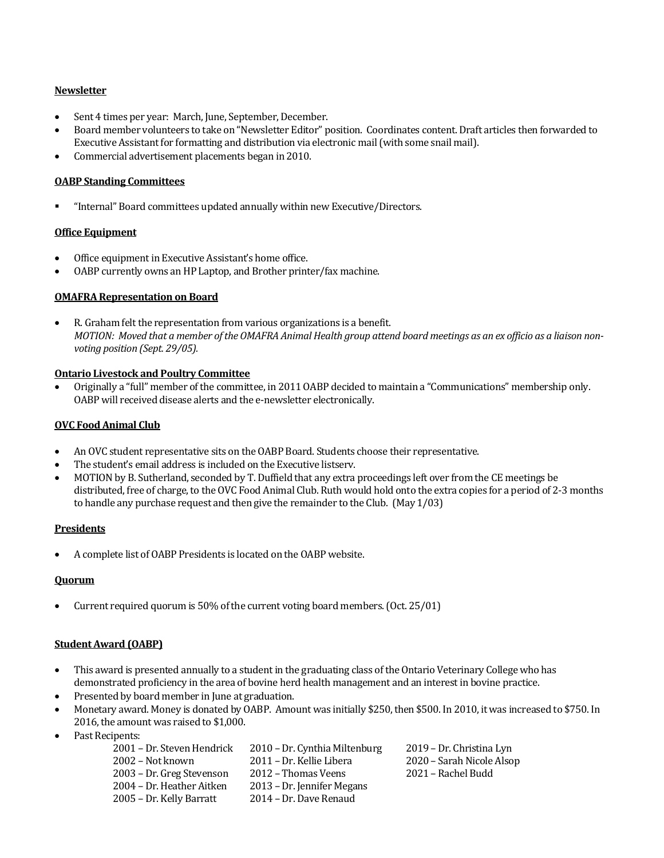#### **Newsletter**

- Sent 4 times per year: March, June, September, December.
- Board member volunteers to take on "Newsletter Editor" position. Coordinates content. Draft articles then forwarded to Executive Assistant for formatting and distribution via electronic mail (with some snail mail).
- Commercial advertisement placements began in 2010.

#### **OABP Standing Committees**

"Internal" Board committees updated annually within new Executive/Directors.

#### **Office Equipment**

- Office equipment in Executive Assistant's home office.
- OABP currently owns an HP Laptop, and Brother printer/fax machine.

#### **OMAFRA Representation on Board**

 R. Graham felt the representation from various organizations is a benefit. *MOTION: Moved that a member of the OMAFRA Animal Health group attend board meetings as an ex officio as a liaison nonvoting position (Sept. 29/05).*

#### **Ontario Livestock and Poultry Committee**

 Originally a "full" member of the committee, in 2011 OABP decided to maintain a "Communications" membership only. OABP will received disease alerts and the e-newsletter electronically.

#### **OVC Food Animal Club**

- An OVC student representative sits on the OABP Board. Students choose their representative.
- The student's email address is included on the Executive listserv.
- MOTION by B. Sutherland, seconded by T. Duffield that any extra proceedings left over from the CE meetings be distributed, free of charge, to the OVC Food Animal Club. Ruth would hold onto the extra copies for a period of 2-3 months to handle any purchase request and then give the remainder to the Club. (May 1/03)

#### **Presidents**

A complete list of OABP Presidents is located on the OABP website.

#### **Quorum**

Current required quorum is 50% of the current voting board members. (Oct. 25/01)

# **Student Award (OABP)**

- This award is presented annually to a student in the graduating class of the Ontario Veterinary College who has demonstrated proficiency in the area of bovine herd health management and an interest in bovine practice.
- Presented by board member in June at graduation.
- Monetary award. Money is donated by OABP. Amount was initially \$250, then \$500. In 2010, it was increased to \$750. In 2016, the amount was raised to \$1,000.
- Past Recipents:

| 2001 – Dr. Steven Hendrick | 2010 – Dr. Cynthia Miltenburg | 2019 – Dr. Christina Lyn  |
|----------------------------|-------------------------------|---------------------------|
| 2002 – Not known           | 2011 – Dr. Kellie Libera      | 2020 – Sarah Nicole Alsop |
| 2003 – Dr. Greg Stevenson  | 2012 – Thomas Veens           | 2021 – Rachel Budd        |
| 2004 – Dr. Heather Aitken  | 2013 – Dr. Jennifer Megans    |                           |
| 2005 – Dr. Kelly Barratt   | 2014 – Dr. Dave Renaud        |                           |